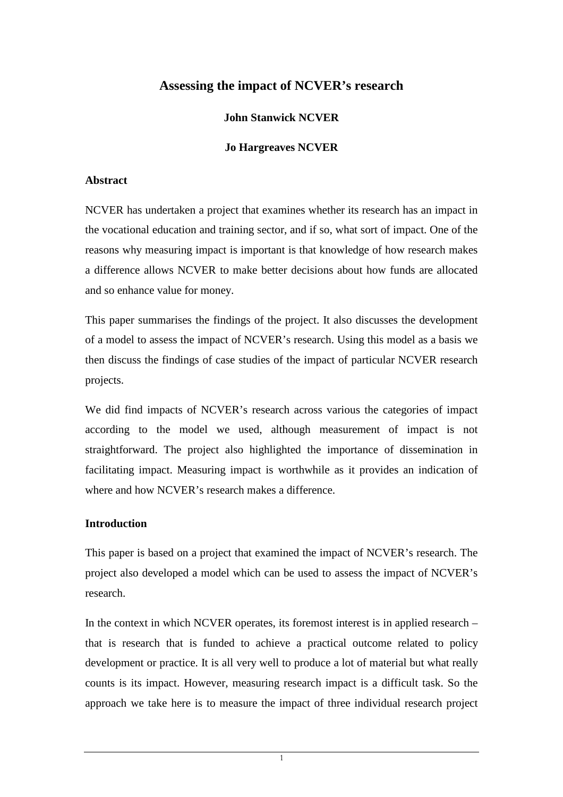# **Assessing the impact of NCVER's research**

# **John Stanwick NCVER**

# **Jo Hargreaves NCVER**

### **Abstract**

NCVER has undertaken a project that examines whether its research has an impact in the vocational education and training sector, and if so, what sort of impact. One of the reasons why measuring impact is important is that knowledge of how research makes a difference allows NCVER to make better decisions about how funds are allocated and so enhance value for money.

This paper summarises the findings of the project. It also discusses the development of a model to assess the impact of NCVER's research. Using this model as a basis we then discuss the findings of case studies of the impact of particular NCVER research projects.

We did find impacts of NCVER's research across various the categories of impact according to the model we used, although measurement of impact is not straightforward. The project also highlighted the importance of dissemination in facilitating impact. Measuring impact is worthwhile as it provides an indication of where and how NCVER's research makes a difference.

#### **Introduction**

This paper is based on a project that examined the impact of NCVER's research. The project also developed a model which can be used to assess the impact of NCVER's research.

In the context in which NCVER operates, its foremost interest is in applied research – that is research that is funded to achieve a practical outcome related to policy development or practice. It is all very well to produce a lot of material but what really counts is its impact. However, measuring research impact is a difficult task. So the approach we take here is to measure the impact of three individual research project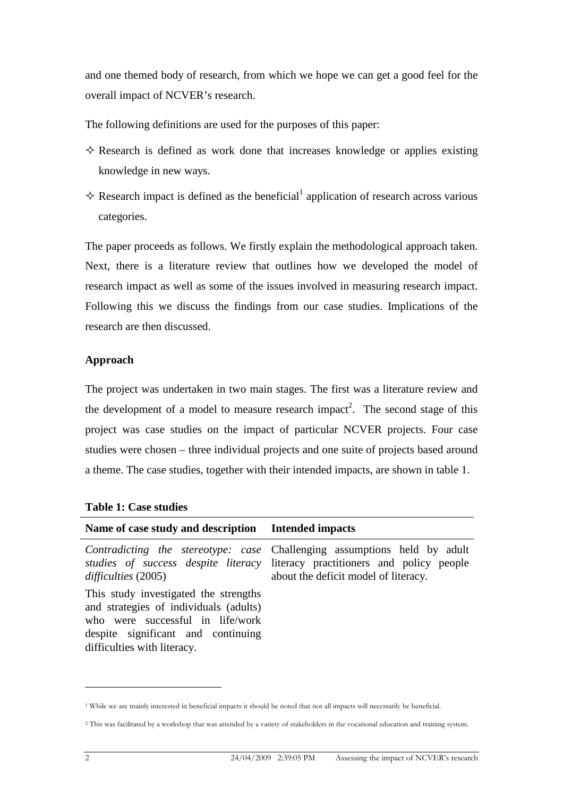and one themed body of research, from which we hope we can get a good feel for the overall impact of NCVER's research.

The following definitions are used for the purposes of this paper:

- $\Diamond$  Research is defined as work done that increases knowledge or applies existing knowledge in new ways.
- $\diamond$  Research impact is defined as the beneficial<sup>1</sup> application of research across various categories.

The paper proceeds as follows. We firstly explain the methodological approach taken. Next, there is a literature review that outlines how we developed the model of research impact as well as some of the issues involved in measuring research impact. Following this we discuss the findings from our case studies. Implications of the research are then discussed.

### **Approach**

The project was undertaken in two main stages. The first was a literature review and the development of a model to measure research impact<sup>2</sup>. The second stage of this project was case studies on the impact of particular NCVER projects. Four case studies were chosen – three individual projects and one suite of projects based around a theme. The case studies, together with their intended impacts, are shown in table 1.

| Name of case study and description Intended impacts                                                                                                                                      |                                                                                                                                                                                                  |
|------------------------------------------------------------------------------------------------------------------------------------------------------------------------------------------|--------------------------------------------------------------------------------------------------------------------------------------------------------------------------------------------------|
| difficulties (2005)                                                                                                                                                                      | Contradicting the stereotype: case Challenging assumptions held by adult<br>studies of success despite literacy literacy practitioners and policy people<br>about the deficit model of literacy. |
| This study investigated the strengths<br>and strategies of individuals (adults)<br>who were successful in life/work<br>despite significant and continuing<br>difficulties with literacy. |                                                                                                                                                                                                  |

 $\overline{a}$ 

<sup>1</sup> While we are mainly interested in beneficial impacts it should be noted that not all impacts will necessarily be beneficial.

<sup>&</sup>lt;sup>2</sup> This was facilitated by a workshop that was attended by a variety of stakeholders in the vocational education and training system.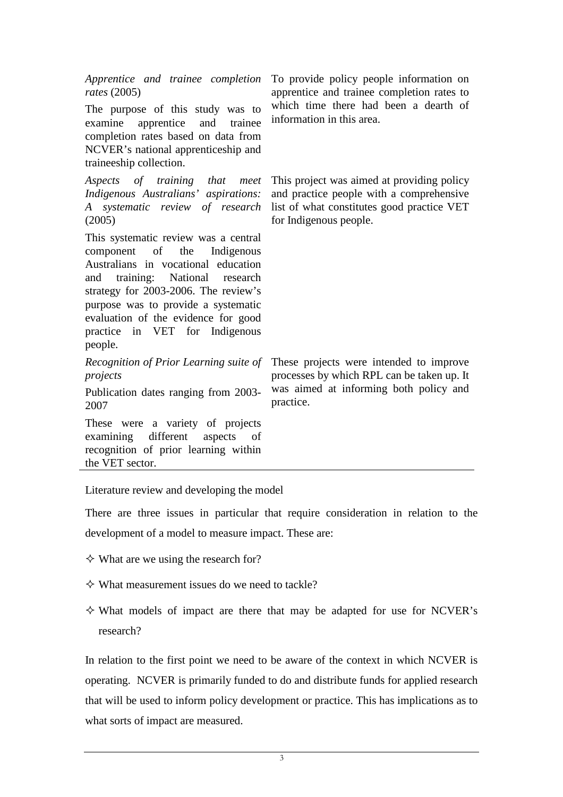| Apprentice and trainee completion<br>rates $(2005)$<br>The purpose of this study was to<br>examine<br>apprentice<br>and<br>trainee<br>completion rates based on data from<br>NCVER's national apprenticeship and<br>traineeship collection.                                                                               | To provide policy people information on<br>apprentice and trainee completion rates to<br>which time there had been a dearth of<br>information in this area. |
|---------------------------------------------------------------------------------------------------------------------------------------------------------------------------------------------------------------------------------------------------------------------------------------------------------------------------|-------------------------------------------------------------------------------------------------------------------------------------------------------------|
| Aspects of training that meet                                                                                                                                                                                                                                                                                             | This project was aimed at providing policy                                                                                                                  |
| Indigenous Australians' aspirations:                                                                                                                                                                                                                                                                                      | and practice people with a comprehensive                                                                                                                    |
| A systematic review of research                                                                                                                                                                                                                                                                                           | list of what constitutes good practice VET                                                                                                                  |
| (2005)                                                                                                                                                                                                                                                                                                                    | for Indigenous people.                                                                                                                                      |
| This systematic review was a central<br>component<br>of<br>the<br>Indigenous<br>Australians in vocational education<br>and training: National research<br>strategy for 2003-2006. The review's<br>purpose was to provide a systematic<br>evaluation of the evidence for good<br>practice in VET for Indigenous<br>people. |                                                                                                                                                             |
| Recognition of Prior Learning suite of                                                                                                                                                                                                                                                                                    | These projects were intended to improve                                                                                                                     |
| projects                                                                                                                                                                                                                                                                                                                  | processes by which RPL can be taken up. It                                                                                                                  |
| Publication dates ranging from 2003-                                                                                                                                                                                                                                                                                      | was aimed at informing both policy and                                                                                                                      |
| 2007                                                                                                                                                                                                                                                                                                                      | practice.                                                                                                                                                   |
| These were a variety of projects<br>examining different<br>aspects<br>of<br>recognition of prior learning within<br>the VET sector.                                                                                                                                                                                       |                                                                                                                                                             |

Literature review and developing the model

There are three issues in particular that require consideration in relation to the development of a model to measure impact. These are:

- $\diamond$  What are we using the research for?
- $\diamond$  What measurement issues do we need to tackle?
- What models of impact are there that may be adapted for use for NCVER's research?

In relation to the first point we need to be aware of the context in which NCVER is operating. NCVER is primarily funded to do and distribute funds for applied research that will be used to inform policy development or practice. This has implications as to what sorts of impact are measured.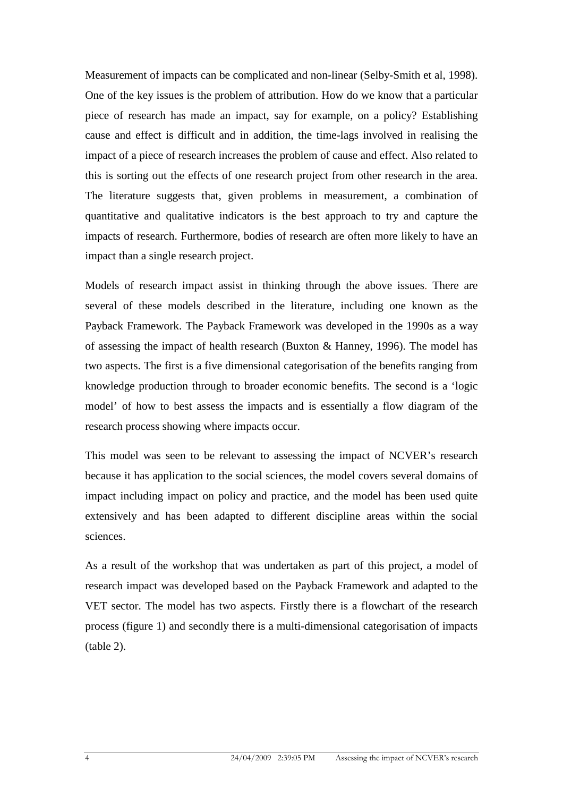Measurement of impacts can be complicated and non-linear (Selby-Smith et al, 1998). One of the key issues is the problem of attribution. How do we know that a particular piece of research has made an impact, say for example, on a policy? Establishing cause and effect is difficult and in addition, the time-lags involved in realising the impact of a piece of research increases the problem of cause and effect. Also related to this is sorting out the effects of one research project from other research in the area. The literature suggests that, given problems in measurement, a combination of quantitative and qualitative indicators is the best approach to try and capture the impacts of research. Furthermore, bodies of research are often more likely to have an impact than a single research project.

Models of research impact assist in thinking through the above issues. There are several of these models described in the literature, including one known as the Payback Framework. The Payback Framework was developed in the 1990s as a way of assessing the impact of health research (Buxton & Hanney, 1996). The model has two aspects. The first is a five dimensional categorisation of the benefits ranging from knowledge production through to broader economic benefits. The second is a 'logic model' of how to best assess the impacts and is essentially a flow diagram of the research process showing where impacts occur.

This model was seen to be relevant to assessing the impact of NCVER's research because it has application to the social sciences, the model covers several domains of impact including impact on policy and practice, and the model has been used quite extensively and has been adapted to different discipline areas within the social sciences.

As a result of the workshop that was undertaken as part of this project, a model of research impact was developed based on the Payback Framework and adapted to the VET sector. The model has two aspects. Firstly there is a flowchart of the research process (figure 1) and secondly there is a multi-dimensional categorisation of impacts (table 2).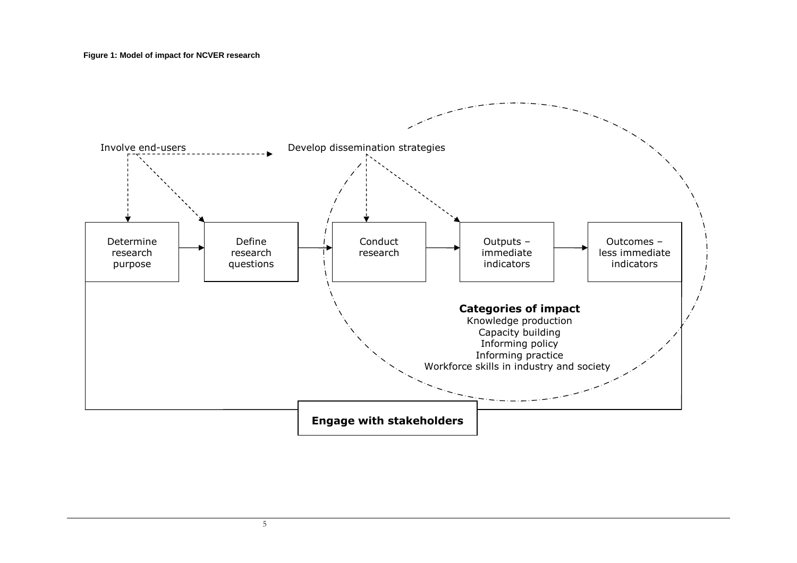**Figure 1: Model of impact for NCVER research** 



5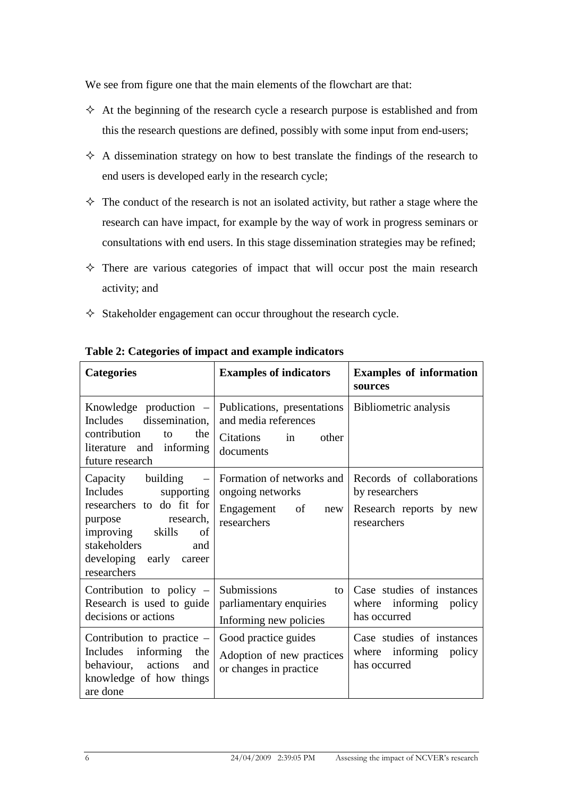We see from figure one that the main elements of the flowchart are that:

- $\Diamond$  At the beginning of the research cycle a research purpose is established and from this the research questions are defined, possibly with some input from end-users;
- $\Diamond$  A dissemination strategy on how to best translate the findings of the research to end users is developed early in the research cycle;
- $\Diamond$  The conduct of the research is not an isolated activity, but rather a stage where the research can have impact, for example by the way of work in progress seminars or consultations with end users. In this stage dissemination strategies may be refined;
- $\Diamond$  There are various categories of impact that will occur post the main research activity; and
- $\Diamond$  Stakeholder engagement can occur throughout the research cycle.

| <b>Categories</b>                                                                                                                                                                                                   | <b>Examples of indicators</b>                                                                | <b>Examples of information</b><br>sources                                             |  |
|---------------------------------------------------------------------------------------------------------------------------------------------------------------------------------------------------------------------|----------------------------------------------------------------------------------------------|---------------------------------------------------------------------------------------|--|
| Knowledge production $-$<br>dissemination,<br>Includes<br>contribution<br>the<br>to<br>literature and informing<br>future research                                                                                  | Publications, presentations<br>and media references<br>Citations<br>other<br>in<br>documents | Bibliometric analysis                                                                 |  |
| building<br>Capacity<br>$\qquad \qquad -$<br>Includes<br>supporting<br>researchers to do fit for<br>purpose research,<br>improving<br>skills<br>of<br>stakeholders<br>and<br>developing early career<br>researchers | Formation of networks and<br>ongoing networks<br>Engagement<br>of<br>new<br>researchers      | Records of collaborations<br>by researchers<br>Research reports by new<br>researchers |  |
| Contribution to policy $-$<br>Research is used to guide<br>decisions or actions                                                                                                                                     | Submissions<br>to<br>parliamentary enquiries<br>Informing new policies                       | Case studies of instances<br>where informing policy<br>has occurred                   |  |
| Contribution to practice $-$<br>Includes<br>informing<br>the<br>behaviour, actions<br>and<br>knowledge of how things<br>are done                                                                                    | Good practice guides<br>Adoption of new practices<br>or changes in practice                  | Case studies of instances<br>where informing policy<br>has occurred                   |  |

# **Table 2: Categories of impact and example indicators**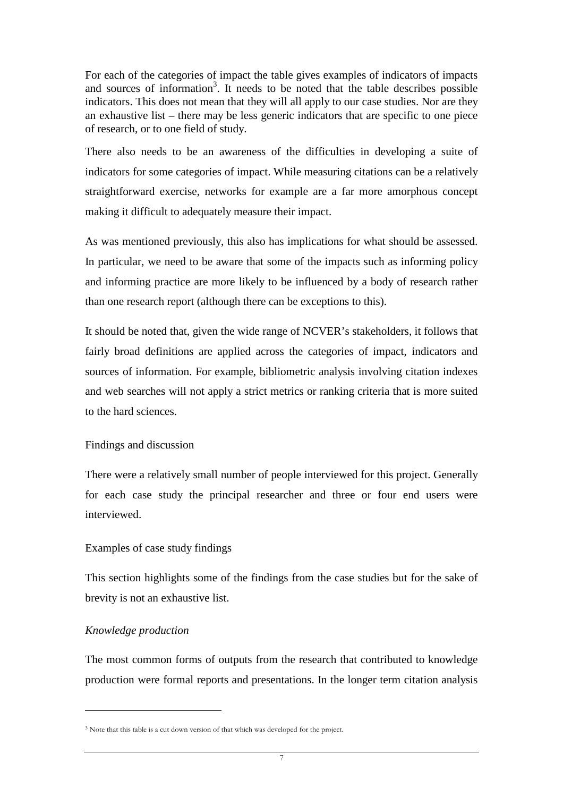For each of the categories of impact the table gives examples of indicators of impacts and sources of information<sup>3</sup>. It needs to be noted that the table describes possible indicators. This does not mean that they will all apply to our case studies. Nor are they an exhaustive list – there may be less generic indicators that are specific to one piece of research, or to one field of study.

There also needs to be an awareness of the difficulties in developing a suite of indicators for some categories of impact. While measuring citations can be a relatively straightforward exercise, networks for example are a far more amorphous concept making it difficult to adequately measure their impact.

As was mentioned previously, this also has implications for what should be assessed. In particular, we need to be aware that some of the impacts such as informing policy and informing practice are more likely to be influenced by a body of research rather than one research report (although there can be exceptions to this).

It should be noted that, given the wide range of NCVER's stakeholders, it follows that fairly broad definitions are applied across the categories of impact, indicators and sources of information. For example, bibliometric analysis involving citation indexes and web searches will not apply a strict metrics or ranking criteria that is more suited to the hard sciences.

#### Findings and discussion

There were a relatively small number of people interviewed for this project. Generally for each case study the principal researcher and three or four end users were interviewed.

#### Examples of case study findings

This section highlights some of the findings from the case studies but for the sake of brevity is not an exhaustive list.

#### *Knowledge production*

 $\overline{a}$ 

The most common forms of outputs from the research that contributed to knowledge production were formal reports and presentations. In the longer term citation analysis

<sup>3</sup> Note that this table is a cut down version of that which was developed for the project.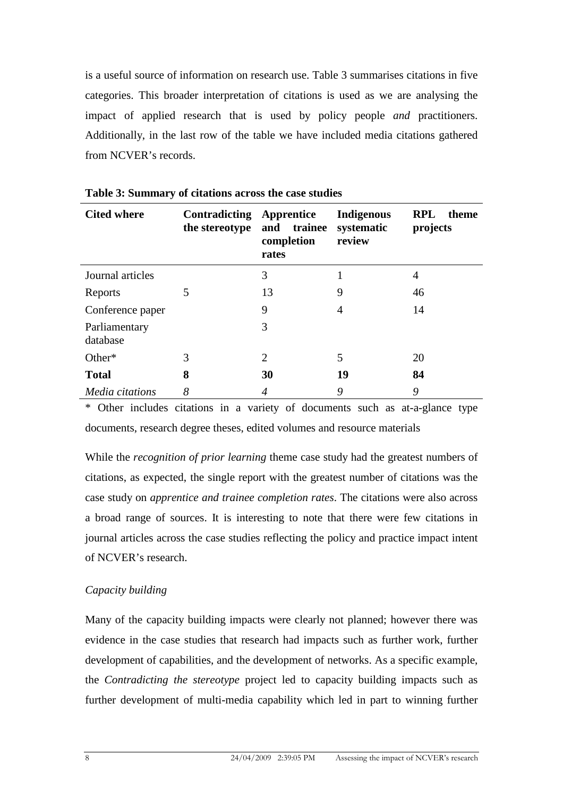is a useful source of information on research use. Table 3 summarises citations in five categories. This broader interpretation of citations is used as we are analysing the impact of applied research that is used by policy people *and* practitioners. Additionally, in the last row of the table we have included media citations gathered from NCVER's records.

| <b>Cited where</b>        | <b>Contradicting Apprentice</b><br>the stereotype | and trainee<br>completion<br>rates | <b>Indigenous</b><br>systematic<br>review | <b>RPL</b><br>theme<br>projects |
|---------------------------|---------------------------------------------------|------------------------------------|-------------------------------------------|---------------------------------|
| Journal articles          |                                                   | 3                                  |                                           | 4                               |
| Reports                   | 5                                                 | 13                                 | 9                                         | 46                              |
| Conference paper          |                                                   | 9                                  | 4                                         | 14                              |
| Parliamentary<br>database |                                                   | 3                                  |                                           |                                 |
| Other*                    | 3                                                 | $\overline{2}$                     | 5                                         | 20                              |
| <b>Total</b>              | 8                                                 | 30                                 | 19                                        | 84                              |
| Media citations           | 8                                                 | $\overline{4}$                     | 9                                         | 9                               |

**Table 3: Summary of citations across the case studies** 

\* Other includes citations in a variety of documents such as at-a-glance type documents, research degree theses, edited volumes and resource materials

While the *recognition of prior learning* theme case study had the greatest numbers of citations, as expected, the single report with the greatest number of citations was the case study on *apprentice and trainee completion rates*. The citations were also across a broad range of sources. It is interesting to note that there were few citations in journal articles across the case studies reflecting the policy and practice impact intent of NCVER's research.

# *Capacity building*

Many of the capacity building impacts were clearly not planned; however there was evidence in the case studies that research had impacts such as further work, further development of capabilities, and the development of networks. As a specific example, the *Contradicting the stereotype* project led to capacity building impacts such as further development of multi-media capability which led in part to winning further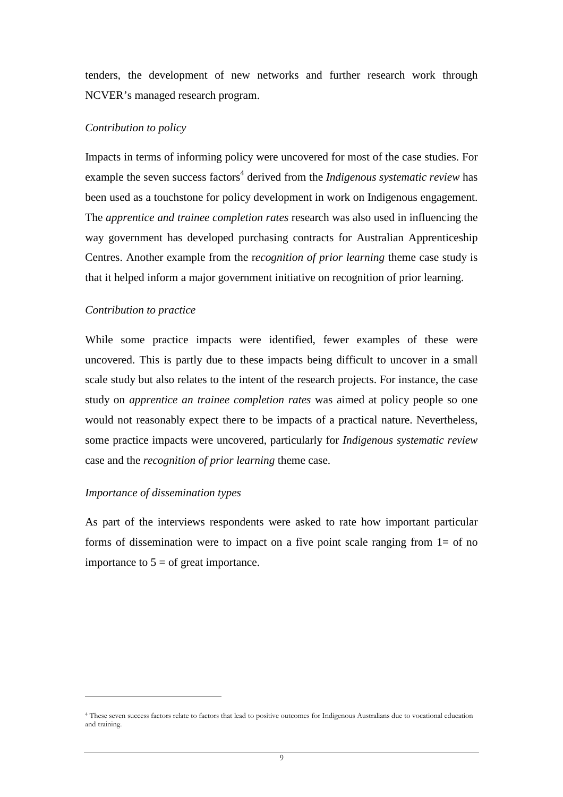tenders, the development of new networks and further research work through NCVER's managed research program.

#### *Contribution to policy*

Impacts in terms of informing policy were uncovered for most of the case studies. For example the seven success factors<sup>4</sup> derived from the *Indigenous systematic review* has been used as a touchstone for policy development in work on Indigenous engagement. The *apprentice and trainee completion rates* research was also used in influencing the way government has developed purchasing contracts for Australian Apprenticeship Centres. Another example from the r*ecognition of prior learning* theme case study is that it helped inform a major government initiative on recognition of prior learning.

#### *Contribution to practice*

While some practice impacts were identified, fewer examples of these were uncovered. This is partly due to these impacts being difficult to uncover in a small scale study but also relates to the intent of the research projects. For instance, the case study on *apprentice an trainee completion rates* was aimed at policy people so one would not reasonably expect there to be impacts of a practical nature. Nevertheless, some practice impacts were uncovered, particularly for *Indigenous systematic review*  case and the *recognition of prior learning* theme case.

#### *Importance of dissemination types*

 $\overline{a}$ 

As part of the interviews respondents were asked to rate how important particular forms of dissemination were to impact on a five point scale ranging from  $1=$  of no importance to  $5 =$  of great importance.

<sup>4</sup> These seven success factors relate to factors that lead to positive outcomes for Indigenous Australians due to vocational education and training.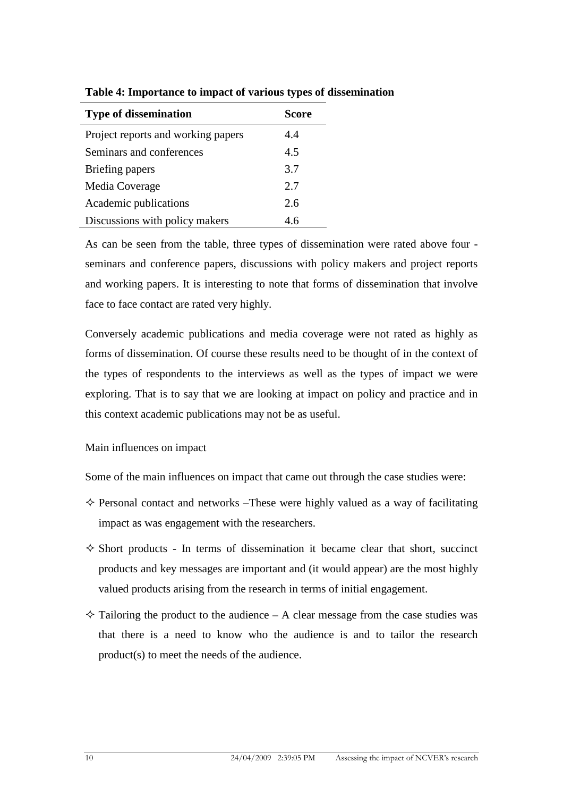| <b>Type of dissemination</b>       | <b>Score</b> |
|------------------------------------|--------------|
| Project reports and working papers | 4.4          |
| Seminars and conferences           | 4.5          |
| Briefing papers                    | 3.7          |
| Media Coverage                     | 2.7          |
| Academic publications              | 2.6          |
| Discussions with policy makers     | 4.6          |

**Table 4: Importance to impact of various types of dissemination** 

As can be seen from the table, three types of dissemination were rated above four seminars and conference papers, discussions with policy makers and project reports and working papers. It is interesting to note that forms of dissemination that involve face to face contact are rated very highly.

Conversely academic publications and media coverage were not rated as highly as forms of dissemination. Of course these results need to be thought of in the context of the types of respondents to the interviews as well as the types of impact we were exploring. That is to say that we are looking at impact on policy and practice and in this context academic publications may not be as useful.

Main influences on impact

Some of the main influences on impact that came out through the case studies were:

- $\Diamond$  Personal contact and networks –These were highly valued as a way of facilitating impact as was engagement with the researchers.
- $\diamond$  Short products In terms of dissemination it became clear that short, succinct products and key messages are important and (it would appear) are the most highly valued products arising from the research in terms of initial engagement.
- $\Diamond$  Tailoring the product to the audience A clear message from the case studies was that there is a need to know who the audience is and to tailor the research product(s) to meet the needs of the audience.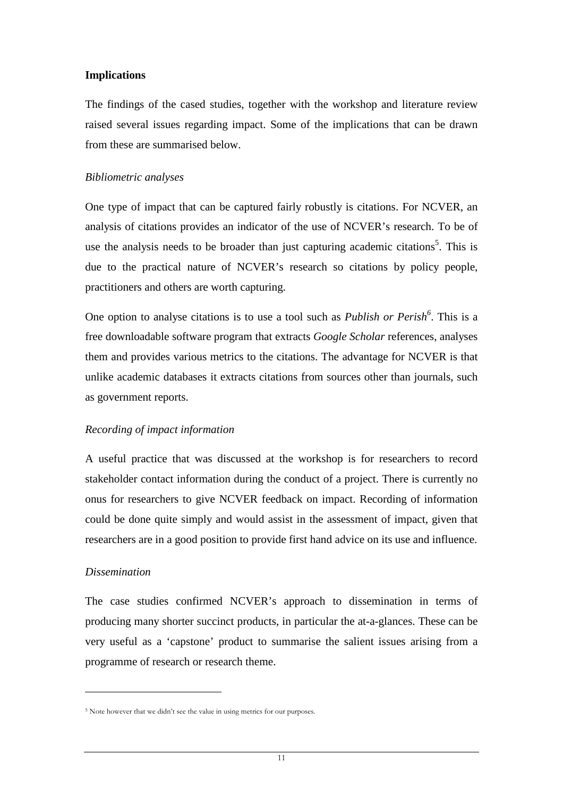# **Implications**

The findings of the cased studies, together with the workshop and literature review raised several issues regarding impact. Some of the implications that can be drawn from these are summarised below.

# *Bibliometric analyses*

One type of impact that can be captured fairly robustly is citations. For NCVER, an analysis of citations provides an indicator of the use of NCVER's research. To be of use the analysis needs to be broader than just capturing academic citations<sup>5</sup>. This is due to the practical nature of NCVER's research so citations by policy people, practitioners and others are worth capturing.

One option to analyse citations is to use a tool such as *Publish or Perish<sup>6</sup>* . This is a free downloadable software program that extracts *Google Scholar* references, analyses them and provides various metrics to the citations. The advantage for NCVER is that unlike academic databases it extracts citations from sources other than journals, such as government reports.

# *Recording of impact information*

A useful practice that was discussed at the workshop is for researchers to record stakeholder contact information during the conduct of a project. There is currently no onus for researchers to give NCVER feedback on impact. Recording of information could be done quite simply and would assist in the assessment of impact, given that researchers are in a good position to provide first hand advice on its use and influence.

# *Dissemination*

 $\overline{a}$ 

The case studies confirmed NCVER's approach to dissemination in terms of producing many shorter succinct products, in particular the at-a-glances. These can be very useful as a 'capstone' product to summarise the salient issues arising from a programme of research or research theme.

<sup>5</sup> Note however that we didn't see the value in using metrics for our purposes.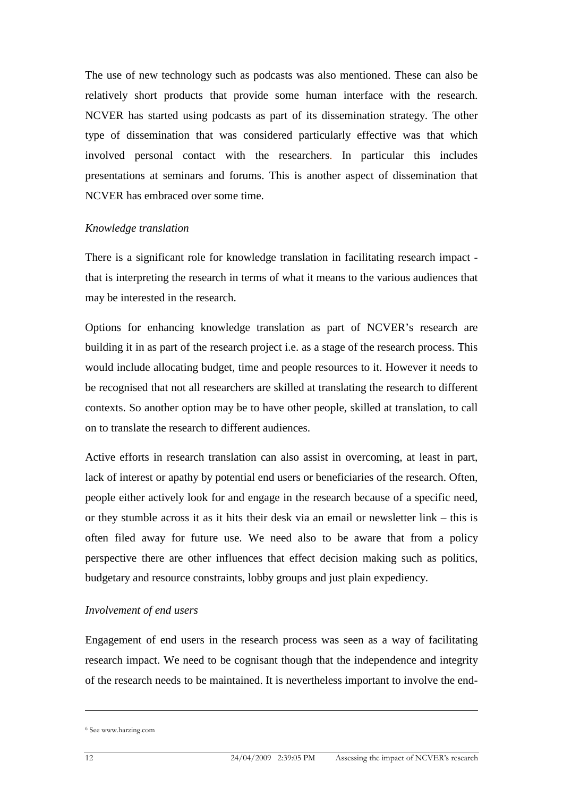The use of new technology such as podcasts was also mentioned. These can also be relatively short products that provide some human interface with the research. NCVER has started using podcasts as part of its dissemination strategy. The other type of dissemination that was considered particularly effective was that which involved personal contact with the researchers. In particular this includes presentations at seminars and forums. This is another aspect of dissemination that NCVER has embraced over some time.

#### *Knowledge translation*

There is a significant role for knowledge translation in facilitating research impact that is interpreting the research in terms of what it means to the various audiences that may be interested in the research.

Options for enhancing knowledge translation as part of NCVER's research are building it in as part of the research project i.e. as a stage of the research process. This would include allocating budget, time and people resources to it. However it needs to be recognised that not all researchers are skilled at translating the research to different contexts. So another option may be to have other people, skilled at translation, to call on to translate the research to different audiences.

Active efforts in research translation can also assist in overcoming, at least in part, lack of interest or apathy by potential end users or beneficiaries of the research. Often, people either actively look for and engage in the research because of a specific need, or they stumble across it as it hits their desk via an email or newsletter link – this is often filed away for future use. We need also to be aware that from a policy perspective there are other influences that effect decision making such as politics, budgetary and resource constraints, lobby groups and just plain expediency.

#### *Involvement of end users*

Engagement of end users in the research process was seen as a way of facilitating research impact. We need to be cognisant though that the independence and integrity of the research needs to be maintained. It is nevertheless important to involve the end-

 $\overline{a}$ 

<sup>6</sup> See www.harzing.com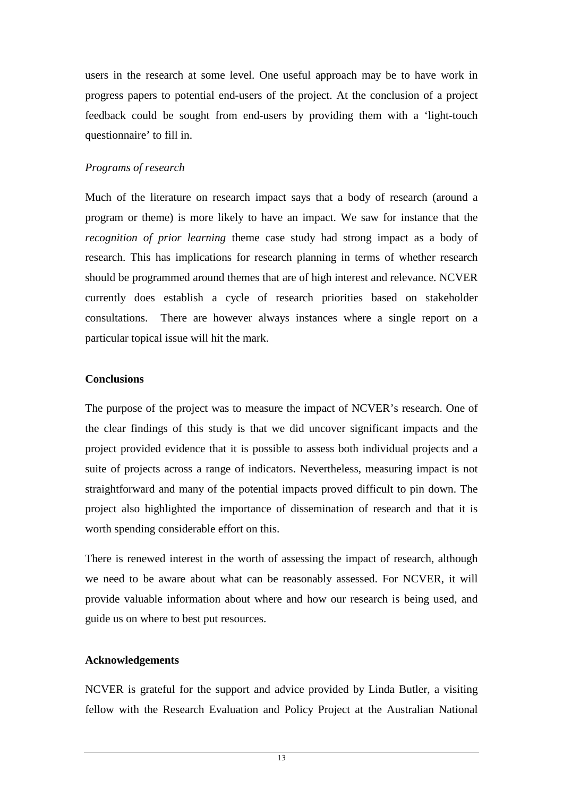users in the research at some level. One useful approach may be to have work in progress papers to potential end-users of the project. At the conclusion of a project feedback could be sought from end-users by providing them with a 'light-touch questionnaire' to fill in.

# *Programs of research*

Much of the literature on research impact says that a body of research (around a program or theme) is more likely to have an impact. We saw for instance that the *recognition of prior learning* theme case study had strong impact as a body of research. This has implications for research planning in terms of whether research should be programmed around themes that are of high interest and relevance. NCVER currently does establish a cycle of research priorities based on stakeholder consultations. There are however always instances where a single report on a particular topical issue will hit the mark.

# **Conclusions**

The purpose of the project was to measure the impact of NCVER's research. One of the clear findings of this study is that we did uncover significant impacts and the project provided evidence that it is possible to assess both individual projects and a suite of projects across a range of indicators. Nevertheless, measuring impact is not straightforward and many of the potential impacts proved difficult to pin down. The project also highlighted the importance of dissemination of research and that it is worth spending considerable effort on this.

There is renewed interest in the worth of assessing the impact of research, although we need to be aware about what can be reasonably assessed. For NCVER, it will provide valuable information about where and how our research is being used, and guide us on where to best put resources.

# **Acknowledgements**

NCVER is grateful for the support and advice provided by Linda Butler, a visiting fellow with the Research Evaluation and Policy Project at the Australian National